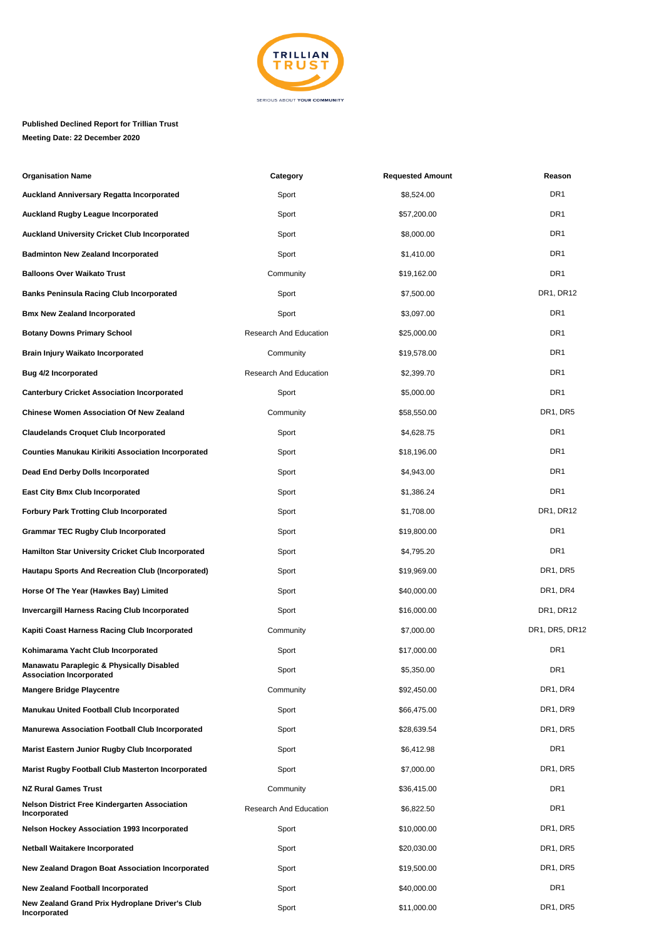

## **Published Declined Report for Trillian Trust Meeting Date: 22 December 2020**

| <b>Organisation Name</b>                                                                | Category               | <b>Requested Amount</b> | Reason          |
|-----------------------------------------------------------------------------------------|------------------------|-------------------------|-----------------|
| <b>Auckland Anniversary Regatta Incorporated</b>                                        | Sport                  | \$8,524.00              | DR <sub>1</sub> |
| <b>Auckland Rugby League Incorporated</b>                                               | Sport                  | \$57,200.00             | DR <sub>1</sub> |
| <b>Auckland University Cricket Club Incorporated</b>                                    | Sport                  | \$8,000.00              | DR <sub>1</sub> |
| <b>Badminton New Zealand Incorporated</b>                                               | Sport                  | \$1,410.00              | DR <sub>1</sub> |
| <b>Balloons Over Waikato Trust</b>                                                      | Community              | \$19,162.00             | DR <sub>1</sub> |
| <b>Banks Peninsula Racing Club Incorporated</b>                                         | Sport                  | \$7,500.00              | DR1, DR12       |
| <b>Bmx New Zealand Incorporated</b>                                                     | Sport                  | \$3,097.00              | DR <sub>1</sub> |
| <b>Botany Downs Primary School</b>                                                      | Research And Education | \$25,000.00             | DR <sub>1</sub> |
| <b>Brain Injury Waikato Incorporated</b>                                                | Community              | \$19,578.00             | DR1             |
| <b>Bug 4/2 Incorporated</b>                                                             | Research And Education | \$2,399.70              | DR <sub>1</sub> |
| <b>Canterbury Cricket Association Incorporated</b>                                      | Sport                  | \$5,000.00              | DR <sub>1</sub> |
| <b>Chinese Women Association Of New Zealand</b>                                         | Community              | \$58,550.00             | DR1, DR5        |
| <b>Claudelands Croquet Club Incorporated</b>                                            | Sport                  | \$4,628.75              | DR <sub>1</sub> |
| <b>Counties Manukau Kirikiti Association Incorporated</b>                               | Sport                  | \$18,196.00             | DR <sub>1</sub> |
| Dead End Derby Dolls Incorporated                                                       | Sport                  | \$4,943.00              | DR <sub>1</sub> |
| <b>East City Bmx Club Incorporated</b>                                                  | Sport                  | \$1,386.24              | DR <sub>1</sub> |
| <b>Forbury Park Trotting Club Incorporated</b>                                          | Sport                  | \$1,708.00              | DR1, DR12       |
| <b>Grammar TEC Rugby Club Incorporated</b>                                              | Sport                  | \$19,800.00             | DR <sub>1</sub> |
| <b>Hamilton Star University Cricket Club Incorporated</b>                               | Sport                  | \$4,795.20              | DR <sub>1</sub> |
| <b>Hautapu Sports And Recreation Club (Incorporated)</b>                                | Sport                  | \$19,969.00             | DR1, DR5        |
| Horse Of The Year (Hawkes Bay) Limited                                                  | Sport                  | \$40,000.00             | DR1, DR4        |
| <b>Invercargill Harness Racing Club Incorporated</b>                                    | Sport                  | \$16,000.00             | DR1, DR12       |
| Kapiti Coast Harness Racing Club Incorporated                                           | Community              | \$7,000.00              | DR1, DR5, DR12  |
| Kohimarama Yacht Club Incorporated                                                      | Sport                  | \$17,000.00             | DR <sub>1</sub> |
| <b>Manawatu Paraplegic &amp; Physically Disabled</b><br><b>Association Incorporated</b> | Sport                  | \$5,350.00              | DR1             |
| <b>Mangere Bridge Playcentre</b>                                                        | Community              | \$92,450.00             | DR1, DR4        |
| <b>Manukau United Football Club Incorporated</b>                                        | Sport                  | \$66,475.00             | DR1, DR9        |
| <b>Manurewa Association Football Club Incorporated</b>                                  | Sport                  | \$28,639.54             | DR1, DR5        |
| Marist Eastern Junior Rugby Club Incorporated                                           | Sport                  | \$6,412.98              | DR1             |
| <b>Marist Rugby Football Club Masterton Incorporated</b>                                | Sport                  | \$7,000.00              | DR1, DR5        |
| <b>NZ Rural Games Trust</b>                                                             | Community              | \$36,415.00             | DR <sub>1</sub> |
| <b>Nelson District Free Kindergarten Association</b><br>Incorporated                    | Research And Education | \$6,822.50              | DR <sub>1</sub> |
| <b>Nelson Hockey Association 1993 Incorporated</b>                                      | Sport                  | \$10,000.00             | DR1, DR5        |
| <b>Netball Waitakere Incorporated</b>                                                   | Sport                  | \$20,030.00             | DR1, DR5        |
| New Zealand Dragon Boat Association Incorporated                                        | Sport                  | \$19,500.00             | DR1, DR5        |
| <b>New Zealand Football Incorporated</b>                                                | Sport                  | \$40,000.00             | DR <sub>1</sub> |
| New Zealand Grand Prix Hydroplane Driver's Club<br>Incorporated                         | Sport                  | \$11,000.00             | DR1, DR5        |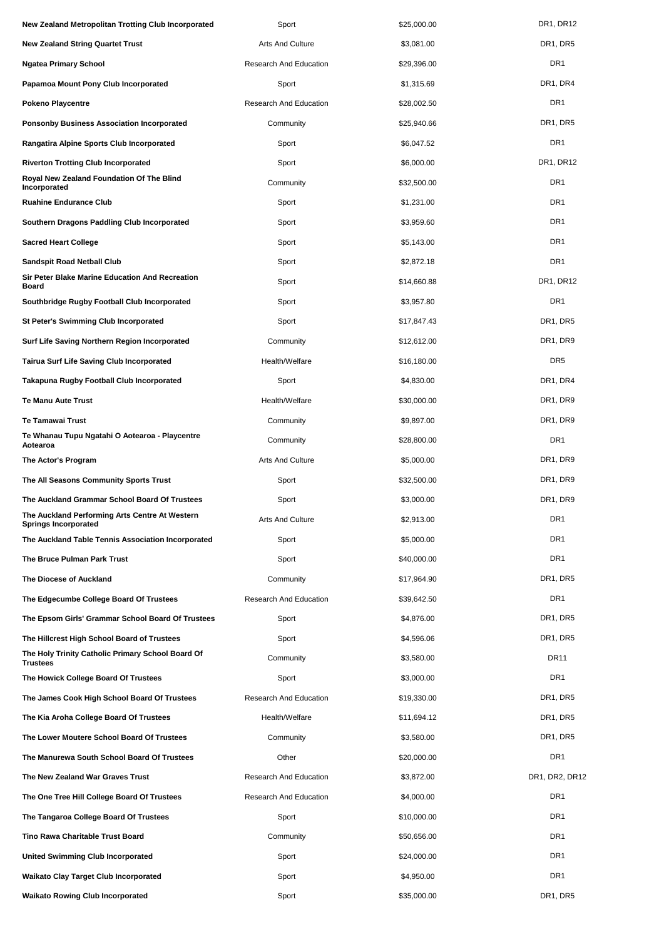| New Zealand Metropolitan Trotting Club Incorporated                           | Sport                         | \$25,000.00 | DR1, DR12                         |
|-------------------------------------------------------------------------------|-------------------------------|-------------|-----------------------------------|
| New Zealand String Quartet Trust                                              | Arts And Culture              | \$3,081.00  | DR <sub>1</sub> , DR <sub>5</sub> |
| Ngatea Primary School                                                         | Research And Education        | \$29,396.00 | DR <sub>1</sub>                   |
| Papamoa Mount Pony Club Incorporated                                          | Sport                         | \$1,315.69  | DR1, DR4                          |
| Pokeno Playcentre                                                             | <b>Research And Education</b> | \$28,002.50 | DR <sub>1</sub>                   |
| Ponsonby Business Association Incorporated                                    | Community                     | \$25,940.66 | DR1, DR5                          |
| Rangatira Alpine Sports Club Incorporated                                     | Sport                         | \$6,047.52  | DR <sub>1</sub>                   |
| Riverton Trotting Club Incorporated                                           | Sport                         | \$6,000.00  | DR1, DR12                         |
| Royal New Zealand Foundation Of The Blind<br>Incorporated                     | Community                     | \$32,500.00 | DR <sub>1</sub>                   |
| <b>Ruahine Endurance Club</b>                                                 | Sport                         | \$1,231.00  | DR <sub>1</sub>                   |
| Southern Dragons Paddling Club Incorporated                                   | Sport                         | \$3,959.60  | DR <sub>1</sub>                   |
| <b>Sacred Heart College</b>                                                   | Sport                         | \$5,143.00  | DR <sub>1</sub>                   |
| <b>Sandspit Road Netball Club</b>                                             | Sport                         | \$2,872.18  | DR <sub>1</sub>                   |
| Sir Peter Blake Marine Education And Recreation<br>Board                      | Sport                         | \$14,660.88 | DR1, DR12                         |
| Southbridge Rugby Football Club Incorporated                                  | Sport                         | \$3,957.80  | DR <sub>1</sub>                   |
| <b>St Peter's Swimming Club Incorporated</b>                                  | Sport                         | \$17,847.43 | DR1, DR5                          |
| Surf Life Saving Northern Region Incorporated                                 | Community                     | \$12,612.00 | DR1, DR9                          |
| Tairua Surf Life Saving Club Incorporated                                     | Health/Welfare                | \$16,180.00 | DR <sub>5</sub>                   |
| Takapuna Rugby Football Club Incorporated                                     | Sport                         | \$4,830.00  | DR1, DR4                          |
| <b>Te Manu Aute Trust</b>                                                     | Health/Welfare                | \$30,000.00 | DR1, DR9                          |
| Te Tamawai Trust                                                              | Community                     | \$9,897.00  | DR1, DR9                          |
| Te Whanau Tupu Ngatahi O Aotearoa - Playcentre<br>Aotearoa                    | Community                     | \$28,800.00 | DR <sub>1</sub>                   |
| The Actor's Program                                                           | Arts And Culture              | \$5,000.00  | DR1, DR9                          |
| The All Seasons Community Sports Trust                                        | Sport                         | \$32,500.00 | DR1, DR9                          |
| The Auckland Grammar School Board Of Trustees                                 | Sport                         | \$3,000.00  | DR1, DR9                          |
| The Auckland Performing Arts Centre At Western<br><b>Springs Incorporated</b> | Arts And Culture              | \$2,913.00  | DR <sub>1</sub>                   |
| The Auckland Table Tennis Association Incorporated                            | Sport                         | \$5,000.00  | DR <sub>1</sub>                   |
| The Bruce Pulman Park Trust                                                   | Sport                         | \$40,000.00 | DR <sub>1</sub>                   |
| The Diocese of Auckland                                                       | Community                     | \$17,964.90 | DR <sub>1</sub> , DR <sub>5</sub> |
| The Edgecumbe College Board Of Trustees                                       | <b>Research And Education</b> | \$39,642.50 | DR <sub>1</sub>                   |
| The Epsom Girls' Grammar School Board Of Trustees                             | Sport                         | \$4,876.00  | DR1, DR5                          |
| The Hillcrest High School Board of Trustees                                   | Sport                         | \$4,596.06  | DR1, DR5                          |
| The Holy Trinity Catholic Primary School Board Of<br><b>Trustees</b>          | Community                     | \$3,580.00  | <b>DR11</b>                       |
| The Howick College Board Of Trustees                                          | Sport                         | \$3,000.00  | DR1                               |
| The James Cook High School Board Of Trustees                                  | Research And Education        | \$19,330.00 | DR <sub>1</sub> , DR <sub>5</sub> |
| The Kia Aroha College Board Of Trustees                                       | Health/Welfare                | \$11,694.12 | DR <sub>1</sub> , DR <sub>5</sub> |
| The Lower Moutere School Board Of Trustees                                    | Community                     | \$3,580.00  | DR <sub>1</sub> , DR <sub>5</sub> |
| The Manurewa South School Board Of Trustees                                   | Other                         | \$20,000.00 | DR <sub>1</sub>                   |
| The New Zealand War Graves Trust                                              | Research And Education        | \$3,872.00  | DR1, DR2, DR12                    |
| The One Tree Hill College Board Of Trustees                                   | Research And Education        | \$4,000.00  | DR1                               |
| The Tangaroa College Board Of Trustees                                        | Sport                         | \$10,000.00 | DR1                               |
| Tino Rawa Charitable Trust Board                                              | Community                     | \$50,656.00 | DR1                               |
| <b>United Swimming Club Incorporated</b>                                      | Sport                         | \$24,000.00 | DR <sub>1</sub>                   |
| Waikato Clay Target Club Incorporated                                         | Sport                         | \$4,950.00  | DR <sub>1</sub>                   |
| <b>Waikato Rowing Club Incorporated</b>                                       | Sport                         | \$35,000.00 | DR1, DR5                          |